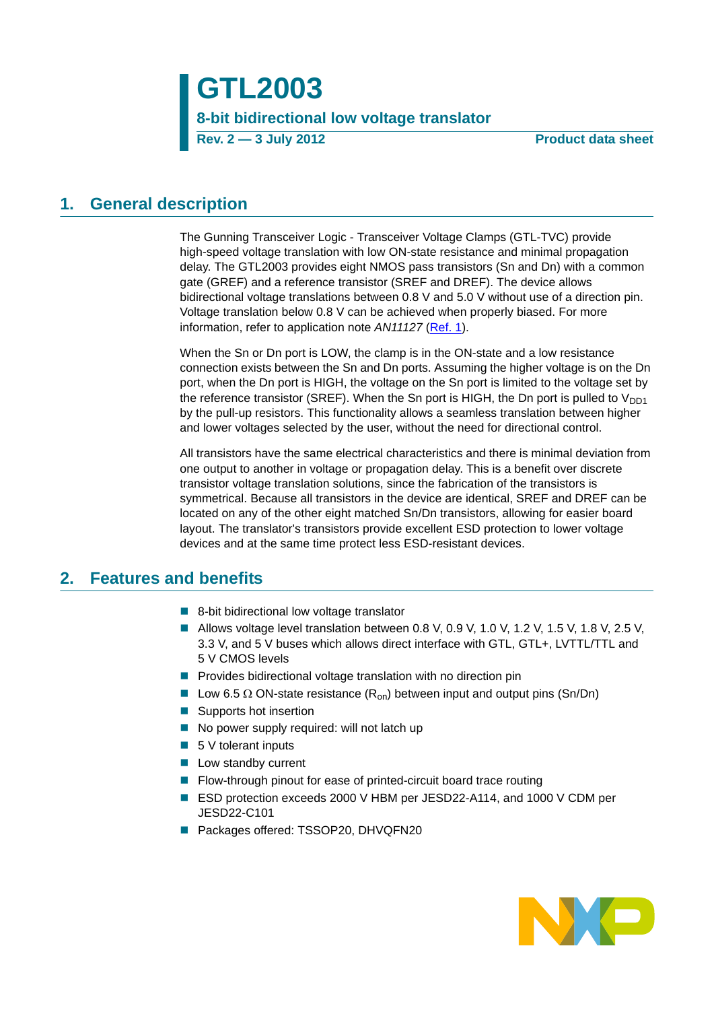**GTL2003 8-bit bidirectional low voltage translator Rev. 2 — 3 July 2012 Product data sheet**

## <span id="page-0-0"></span>**1. General description**

The Gunning Transceiver Logic - Transceiver Voltage Clamps (GTL-TVC) provide high-speed voltage translation with low ON-state resistance and minimal propagation delay. The GTL2003 provides eight NMOS pass transistors (Sn and Dn) with a common gate (GREF) and a reference transistor (SREF and DREF). The device allows bidirectional voltage translations between 0.8 V and 5.0 V without use of a direction pin. Voltage translation below 0.8 V can be achieved when properly biased. For more information, refer to application note *AN11127* ([Ref. 1](#page-19-0)).

When the Sn or Dn port is LOW, the clamp is in the ON-state and a low resistance connection exists between the Sn and Dn ports. Assuming the higher voltage is on the Dn port, when the Dn port is HIGH, the voltage on the Sn port is limited to the voltage set by the reference transistor (SREF). When the Sn port is HIGH, the Dn port is pulled to  $V_{DD1}$ by the pull-up resistors. This functionality allows a seamless translation between higher and lower voltages selected by the user, without the need for directional control.

All transistors have the same electrical characteristics and there is minimal deviation from one output to another in voltage or propagation delay. This is a benefit over discrete transistor voltage translation solutions, since the fabrication of the transistors is symmetrical. Because all transistors in the device are identical, SREF and DREF can be located on any of the other eight matched Sn/Dn transistors, allowing for easier board layout. The translator's transistors provide excellent ESD protection to lower voltage devices and at the same time protect less ESD-resistant devices.

## <span id="page-0-1"></span>**2. Features and benefits**

- 8-bit bidirectional low voltage translator
- Allows voltage level translation between 0.8 V, 0.9 V, 1.0 V, 1.2 V, 1.5 V, 1.8 V, 2.5 V, 3.3 V, and 5 V buses which allows direct interface with GTL, GTL+, LVTTL/TTL and 5 V CMOS levels
- **Provides bidirectional voltage translation with no direction pin**
- Low 6.5  $\Omega$  ON-state resistance (R<sub>on</sub>) between input and output pins (Sn/Dn)
- Supports hot insertion
- No power supply required: will not latch up
- $\blacksquare$  5 V tolerant inputs
- **Low standby current**
- **Filow-through pinout for ease of printed-circuit board trace routing**
- ESD protection exceeds 2000 V HBM per JESD22-A114, and 1000 V CDM per JESD22-C101
- Packages offered: TSSOP20, DHVQFN20

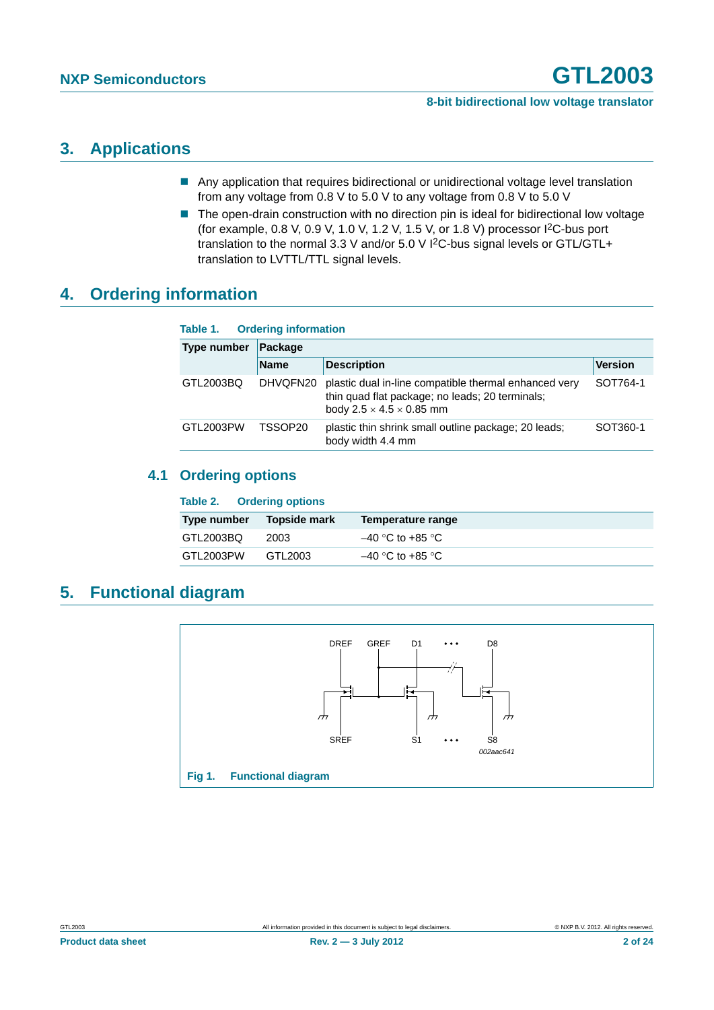# <span id="page-1-1"></span>**3. Applications**

- Any application that requires bidirectional or unidirectional voltage level translation from any voltage from 0.8 V to 5.0 V to any voltage from 0.8 V to 5.0 V
- The open-drain construction with no direction pin is ideal for bidirectional low voltage (for example, 0.8 V, 0.9 V, 1.0 V, 1.2 V, 1.5 V, or 1.8 V) processor I2C-bus port translation to the normal 3.3 V and/or 5.0 V I2C-bus signal levels or GTL/GTL+ translation to LVTTL/TTL signal levels.

# <span id="page-1-2"></span>**4. Ordering information**

| <b>Ordering information</b><br>Table 1. |             |                                                                                                                                                  |                |  |  |  |
|-----------------------------------------|-------------|--------------------------------------------------------------------------------------------------------------------------------------------------|----------------|--|--|--|
| Type number                             | Package     |                                                                                                                                                  |                |  |  |  |
|                                         | <b>Name</b> | <b>Description</b>                                                                                                                               | <b>Version</b> |  |  |  |
| GTL2003BO                               | DHVQFN20    | plastic dual in-line compatible thermal enhanced very<br>thin quad flat package; no leads; 20 terminals;<br>body $2.5 \times 4.5 \times 0.85$ mm | SOT764-1       |  |  |  |
| GTL2003PW                               | TSSOP20     | plastic thin shrink small outline package; 20 leads;<br>body width 4.4 mm                                                                        | SOT360-1       |  |  |  |

### <span id="page-1-3"></span>**4.1 Ordering options**

| Table 2. Ordering options |              |                    |
|---------------------------|--------------|--------------------|
| Type number               | Topside mark | Temperature range  |
| GTL2003BQ                 | 2003         | $-40$ °C to +85 °C |
| GTL2003PW                 | GTL2003      | $-40$ °C to +85 °C |

# <span id="page-1-4"></span>**5. Functional diagram**

<span id="page-1-0"></span>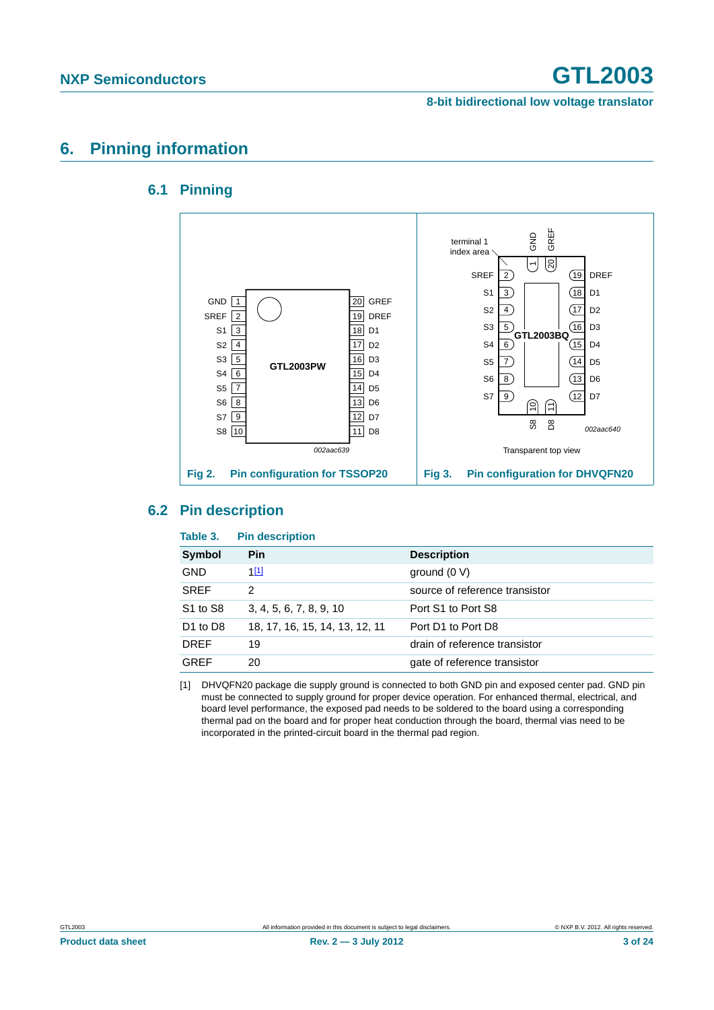**8-bit bidirectional low voltage translator**

# <span id="page-2-2"></span><span id="page-2-1"></span>**6. Pinning information**

### **6.1 Pinning**



#### <span id="page-2-3"></span>**6.2 Pin description**

| Table 3.                         | <b>Pin description</b>         |                                |
|----------------------------------|--------------------------------|--------------------------------|
| <b>Symbol</b>                    | Pin                            | <b>Description</b>             |
| <b>GND</b>                       | $1^{[1]}$                      | ground $(0 V)$                 |
| <b>SREF</b>                      | 2                              | source of reference transistor |
| S <sub>1</sub> to S <sub>8</sub> | 3, 4, 5, 6, 7, 8, 9, 10        | Port S1 to Port S8             |
| D <sub>1</sub> to D <sub>8</sub> | 18, 17, 16, 15, 14, 13, 12, 11 | Port D1 to Port D8             |
| <b>DREF</b>                      | 19                             | drain of reference transistor  |
| <b>GREF</b>                      | 20                             | gate of reference transistor   |

<span id="page-2-0"></span>[1] DHVQFN20 package die supply ground is connected to both GND pin and exposed center pad. GND pin must be connected to supply ground for proper device operation. For enhanced thermal, electrical, and board level performance, the exposed pad needs to be soldered to the board using a corresponding thermal pad on the board and for proper heat conduction through the board, thermal vias need to be incorporated in the printed-circuit board in the thermal pad region.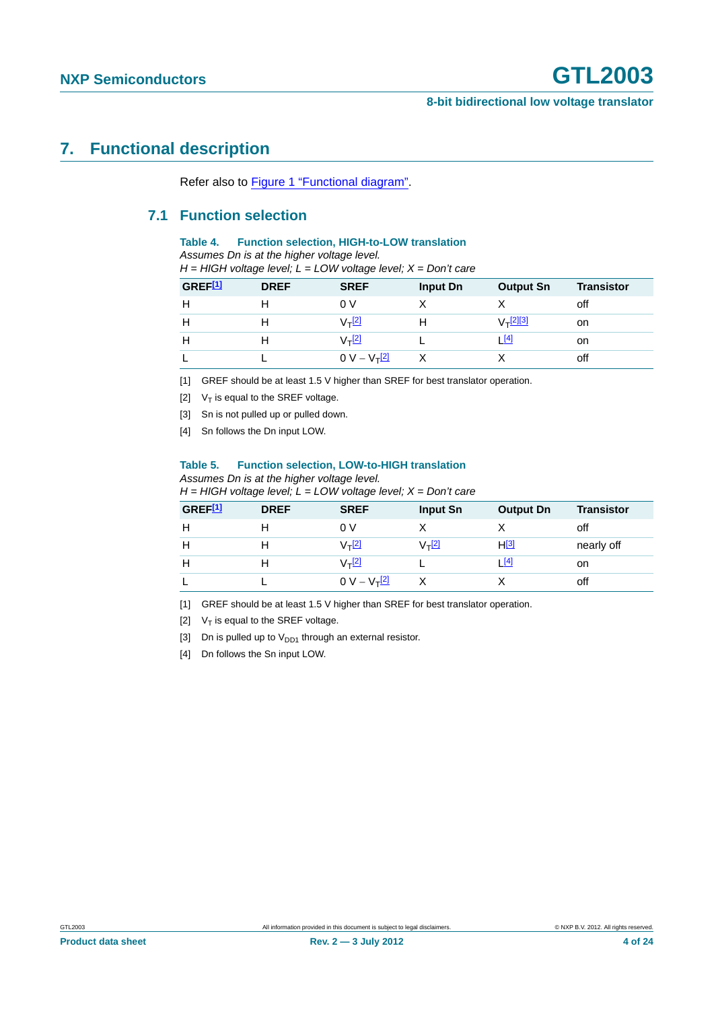# <span id="page-3-10"></span><span id="page-3-9"></span>**7. Functional description**

Refer also to [Figure 1 "Functional diagram".](#page-1-0)

#### **7.1 Function selection**

#### **Table 4. Function selection, HIGH-to-LOW translation**

*Assumes Dn is at the higher voltage level.* 

| GREF <sup>[1]</sup> | <b>DREF</b> | <b>SREF</b>        | Input Dn | <b>Output Sn</b>     | <b>Transistor</b> |
|---------------------|-------------|--------------------|----------|----------------------|-------------------|
| н                   |             | 0 V                |          |                      | off               |
| н                   |             | V <sub>T</sub> [2] |          | V– <sup>[2][3]</sup> | on                |
| н                   |             | $V_T$ $^{[2]}$     |          | <u> [4]</u>          | on                |
|                     |             | $0 V - V_T^{[2]}$  |          |                      | off               |

<span id="page-3-0"></span>[1] GREF should be at least 1.5 V higher than SREF for best translator operation.

- <span id="page-3-1"></span>[2]  $V_T$  is equal to the SREF voltage.
- <span id="page-3-2"></span>[3] Sn is not pulled up or pulled down.
- <span id="page-3-3"></span>[4] Sn follows the Dn input LOW.

#### <span id="page-3-8"></span>**Table 5. Function selection, LOW-to-HIGH translation**

*Assumes Dn is at the higher voltage level.* 

*H = HIGH voltage level; L = LOW voltage level; X = Don't care*

| GREF <sup>[1]</sup> | <b>DREF</b> | <b>SREF</b>          | <b>Input Sn</b> | <b>Output Dn</b> | <b>Transistor</b> |
|---------------------|-------------|----------------------|-----------------|------------------|-------------------|
| н                   |             | 0 V                  |                 |                  | off               |
| н                   |             | $V_T$ <sup>[2]</sup> | $V_T$ [2]       | $H^{[3]}$        | nearly off        |
| н                   |             | $V_T$ <sup>[2]</sup> |                 | [4]              | on                |
|                     |             | $0 V - V_T^{[2]}$    |                 |                  | off               |

<span id="page-3-4"></span>[1] GREF should be at least 1.5 V higher than SREF for best translator operation.

<span id="page-3-5"></span>[2]  $V_T$  is equal to the SREF voltage.

<span id="page-3-6"></span>[3] Dn is pulled up to  $V_{DD1}$  through an external resistor.

<span id="page-3-7"></span>[4] Dn follows the Sn input LOW.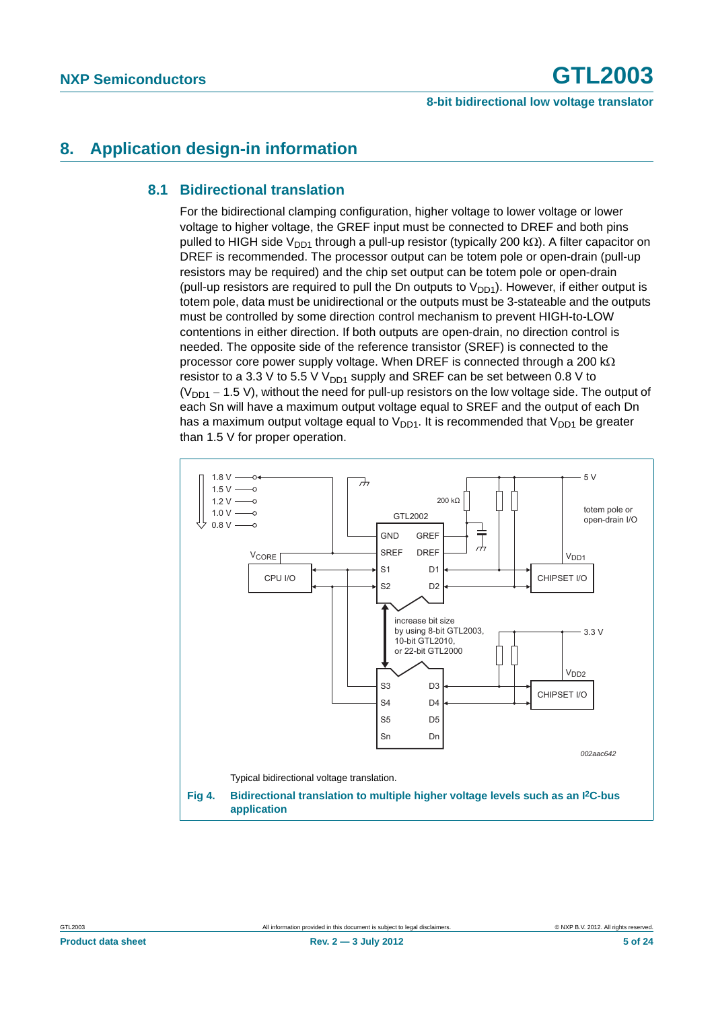# <span id="page-4-2"></span><span id="page-4-0"></span>**8. Application design-in information**

#### **8.1 Bidirectional translation**

For the bidirectional clamping configuration, higher voltage to lower voltage or lower voltage to higher voltage, the GREF input must be connected to DREF and both pins pulled to HIGH side V<sub>DD1</sub> through a pull-up resistor (typically 200 k $\Omega$ ). A filter capacitor on DREF is recommended. The processor output can be totem pole or open-drain (pull-up resistors may be required) and the chip set output can be totem pole or open-drain (pull-up resistors are required to pull the Dn outputs to  $V_{DD1}$ ). However, if either output is totem pole, data must be unidirectional or the outputs must be 3-stateable and the outputs must be controlled by some direction control mechanism to prevent HIGH-to-LOW contentions in either direction. If both outputs are open-drain, no direction control is needed. The opposite side of the reference transistor (SREF) is connected to the processor core power supply voltage. When DREF is connected through a 200 k $\Omega$ resistor to a 3.3 V to 5.5 V  $V_{DD1}$  supply and SREF can be set between 0.8 V to  $(V_{DD1} - 1.5 V)$ , without the need for pull-up resistors on the low voltage side. The output of each Sn will have a maximum output voltage equal to SREF and the output of each Dn has a maximum output voltage equal to  $V_{DD1}$ . It is recommended that  $V_{DD1}$  be greater than 1.5 V for proper operation.

<span id="page-4-1"></span>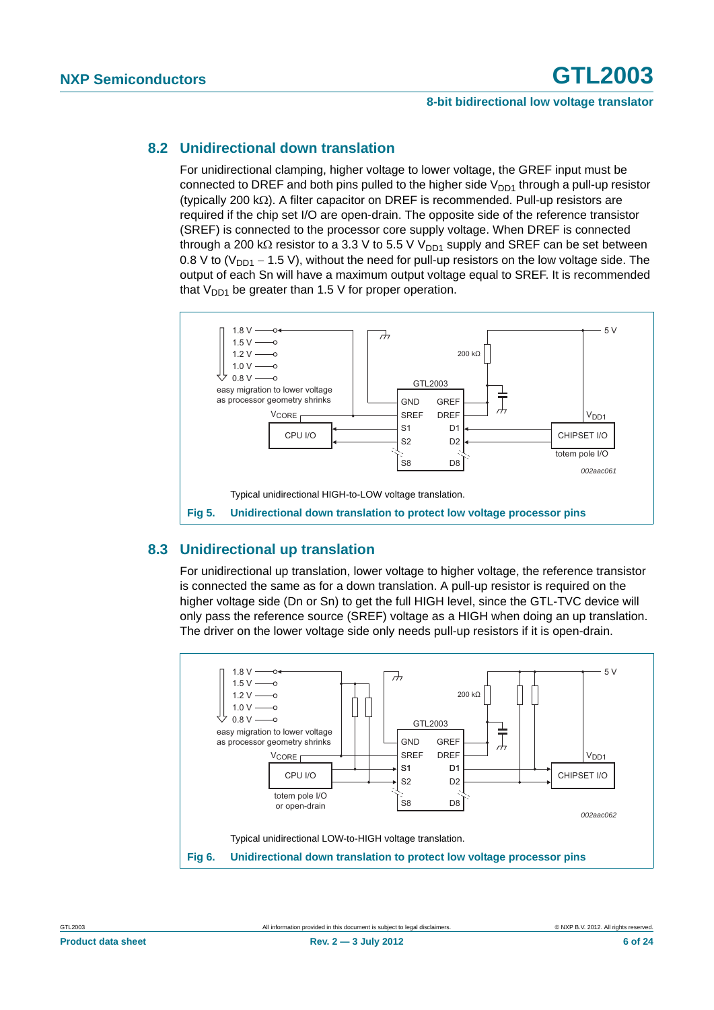#### <span id="page-5-0"></span>**8.2 Unidirectional down translation**

For unidirectional clamping, higher voltage to lower voltage, the GREF input must be connected to DREF and both pins pulled to the higher side  $V_{DD1}$  through a pull-up resistor (typically 200 k $\Omega$ ). A filter capacitor on DREF is recommended. Pull-up resistors are required if the chip set I/O are open-drain. The opposite side of the reference transistor (SREF) is connected to the processor core supply voltage. When DREF is connected through a 200 k $\Omega$  resistor to a 3.3 V to 5.5 V V<sub>DD1</sub> supply and SREF can be set between 0.8 V to ( $V<sub>DD1</sub> - 1.5$  V), without the need for pull-up resistors on the low voltage side. The output of each Sn will have a maximum output voltage equal to SREF. It is recommended that  $V_{DD1}$  be greater than 1.5 V for proper operation.



### <span id="page-5-3"></span><span id="page-5-1"></span>**8.3 Unidirectional up translation**

For unidirectional up translation, lower voltage to higher voltage, the reference transistor is connected the same as for a down translation. A pull-up resistor is required on the higher voltage side (Dn or Sn) to get the full HIGH level, since the GTL-TVC device will only pass the reference source (SREF) voltage as a HIGH when doing an up translation. The driver on the lower voltage side only needs pull-up resistors if it is open-drain.

<span id="page-5-2"></span>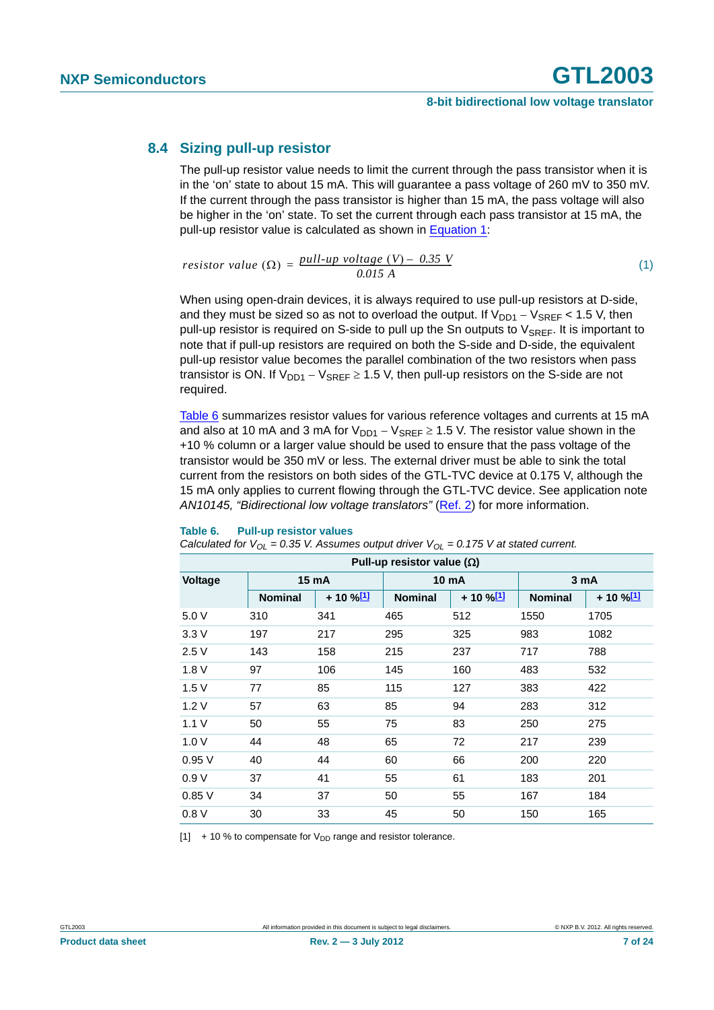#### <span id="page-6-3"></span>**8.4 Sizing pull-up resistor**

The pull-up resistor value needs to limit the current through the pass transistor when it is in the 'on' state to about 15 mA. This will guarantee a pass voltage of 260 mV to 350 mV. If the current through the pass transistor is higher than 15 mA, the pass voltage will also be higher in the 'on' state. To set the current through each pass transistor at 15 mA, the pull-up resistor value is calculated as shown in [Equation 1](#page-6-2):

<span id="page-6-2"></span>
$$
resistor value (\Omega) = \frac{pull-up voltage (V) - 0.35 V}{0.015 A}
$$
 (1)

When using open-drain devices, it is always required to use pull-up resistors at D-side, and they must be sized so as not to overload the output. If  $V_{DD1} - V_{SREF} < 1.5$  V, then pull-up resistor is required on S-side to pull up the Sn outputs to  $V_{SREF}$ . It is important to note that if pull-up resistors are required on both the S-side and D-side, the equivalent pull-up resistor value becomes the parallel combination of the two resistors when pass transistor is ON. If  $V_{DD1} - V_{SRFF} \ge 1.5$  V, then pull-up resistors on the S-side are not required.

[Table 6](#page-6-0) summarizes resistor values for various reference voltages and currents at 15 mA and also at 10 mA and 3 mA for  $V_{DD1} - V_{SREF} \ge 1.5$  V. The resistor value shown in the +10 % column or a larger value should be used to ensure that the pass voltage of the transistor would be 350 mV or less. The external driver must be able to sink the total current from the resistors on both sides of the GTL-TVC device at 0.175 V, although the 15 mA only applies to current flowing through the GTL-TVC device. See application note *AN10145, "Bidirectional low voltage translators"* ([Ref. 2](#page-19-1)) for more information.

#### <span id="page-6-0"></span>**Table 6. Pull-up resistor values**

|  |  | Calculated for $V_{OL} = 0.35$ V. Assumes output driver $V_{OL} = 0.175$ V at stated current. |
|--|--|-----------------------------------------------------------------------------------------------|
|--|--|-----------------------------------------------------------------------------------------------|

| Pull-up resistor value ( $\Omega$ ) |                |                   |                |                   |                |                   |  |
|-------------------------------------|----------------|-------------------|----------------|-------------------|----------------|-------------------|--|
| Voltage                             | 15 mA          |                   |                | <b>10 mA</b>      |                | 3 mA              |  |
|                                     | <b>Nominal</b> | + 10 % <u>[1]</u> | <b>Nominal</b> | + 10 % <u>[1]</u> | <b>Nominal</b> | + 10 % <u>[1]</u> |  |
| 5.0 V                               | 310            | 341               | 465            | 512               | 1550           | 1705              |  |
| 3.3V                                | 197            | 217               | 295            | 325               | 983            | 1082              |  |
| 2.5V                                | 143            | 158               | 215            | 237               | 717            | 788               |  |
| 1.8V                                | 97             | 106               | 145            | 160               | 483            | 532               |  |
| 1.5V                                | 77             | 85                | 115            | 127               | 383            | 422               |  |
| 1.2V                                | 57             | 63                | 85             | 94                | 283            | 312               |  |
| 1.1V                                | 50             | 55                | 75             | 83                | 250            | 275               |  |
| 1.0V                                | 44             | 48                | 65             | 72                | 217            | 239               |  |
| 0.95V                               | 40             | 44                | 60             | 66                | 200            | 220               |  |
| 0.9V                                | 37             | 41                | 55             | 61                | 183            | 201               |  |
| 0.85V                               | 34             | 37                | 50             | 55                | 167            | 184               |  |
| 0.8V                                | 30             | 33                | 45             | 50                | 150            | 165               |  |

<span id="page-6-1"></span> $[1]$  + 10 % to compensate for  $V_{DD}$  range and resistor tolerance.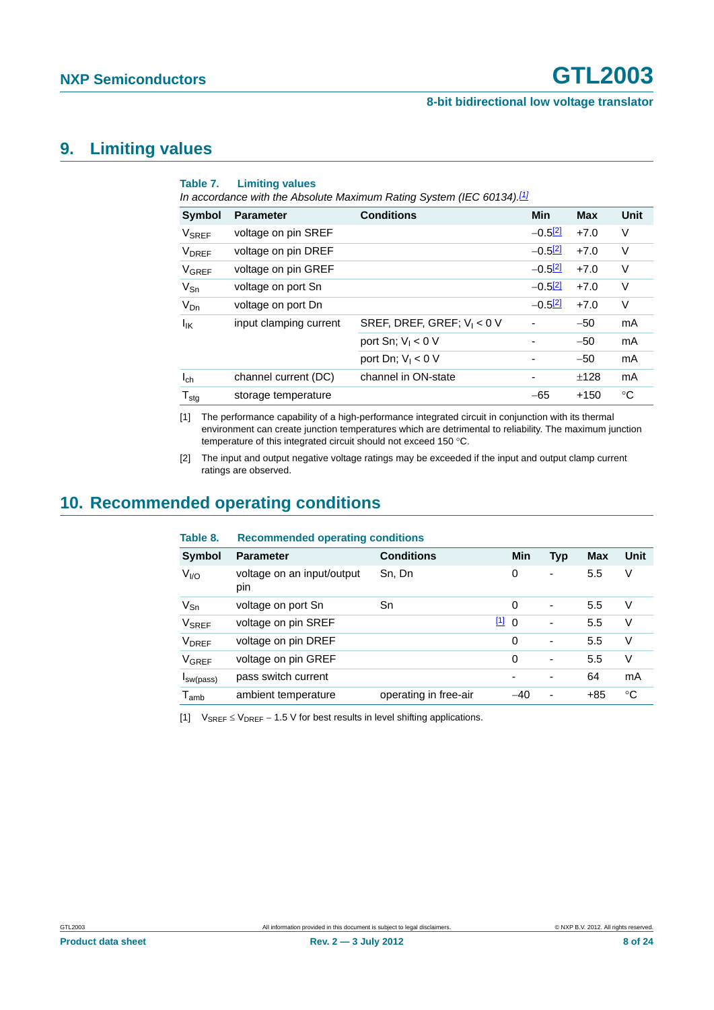#### **8-bit bidirectional low voltage translator**

# <span id="page-7-4"></span>**9. Limiting values**

| Table 7.                 | <b>Limiting values</b><br>In accordance with the Absolute Maximum Rating System (IEC 60134).[1] |                               |            |            |             |  |  |
|--------------------------|-------------------------------------------------------------------------------------------------|-------------------------------|------------|------------|-------------|--|--|
| <b>Symbol</b>            | <b>Parameter</b>                                                                                | <b>Conditions</b>             | <b>Min</b> | <b>Max</b> | <b>Unit</b> |  |  |
| V <sub>SREF</sub>        | voltage on pin SREF                                                                             |                               | $-0.5[2]$  | $+7.0$     | $\vee$      |  |  |
| <b>V</b> <sub>DREF</sub> | voltage on pin DREF                                                                             |                               | $-0.5[2]$  | $+7.0$     | V           |  |  |
| <b>V<sub>GREF</sub></b>  | voltage on pin GREF                                                                             |                               | $-0.5[2]$  | $+7.0$     | V           |  |  |
| $V_{\text{Sn}}$          | voltage on port Sn                                                                              |                               | $-0.5[2]$  | $+7.0$     | V           |  |  |
| $V_{Dn}$                 | voltage on port Dn                                                                              |                               | $-0.5[2]$  | $+7.0$     | V           |  |  |
| lικ                      | input clamping current                                                                          | SREF, DREF, GREF; $V_1 < 0$ V |            | $-50$      | mA          |  |  |
|                          |                                                                                                 | port Sn; $V_1 < 0$ V          |            | $-50$      | mA          |  |  |
|                          |                                                                                                 | port Dn; $V_1 < 0$ V          |            | $-50$      | mA          |  |  |
| $I_{ch}$                 | channel current (DC)                                                                            | channel in ON-state           |            | ±128       | mA          |  |  |
| $T_{\text{stg}}$         | storage temperature                                                                             |                               | $-65$      | $+150$     | °C          |  |  |

<span id="page-7-0"></span>[1] The performance capability of a high-performance integrated circuit in conjunction with its thermal environment can create junction temperatures which are detrimental to reliability. The maximum junction temperature of this integrated circuit should not exceed 150 °C.

<span id="page-7-1"></span>[2] The input and output negative voltage ratings may be exceeded if the input and output clamp current ratings are observed.

# <span id="page-7-5"></span>**10. Recommended operating conditions**

<span id="page-7-3"></span>

| Table 8.                    | <b>Recommended operating conditions</b> |                       |          |                              |       |      |
|-----------------------------|-----------------------------------------|-----------------------|----------|------------------------------|-------|------|
| Symbol                      | <b>Parameter</b>                        | <b>Conditions</b>     | Min      | <b>Typ</b>                   | Max   | Unit |
| V <sub>1/0</sub>            | voltage on an input/output<br>pin       | Sn, Dn                | 0        | $\overline{\phantom{a}}$     | 5.5   | V    |
| $V_{\text{Sn}}$             | voltage on port Sn                      | Sn                    | 0        | $\overline{\phantom{a}}$     | 5.5   | V    |
| <b>V<sub>SREF</sub></b>     | voltage on pin SREF                     |                       | 110      | -                            | 5.5   | V    |
| <b>V</b> <sub>DREF</sub>    | voltage on pin DREF                     |                       | 0        | $\qquad \qquad \blacksquare$ | 5.5   | V    |
| <b>VGREF</b>                | voltage on pin GREF                     |                       | $\Omega$ | $\overline{\phantom{a}}$     | 5.5   | V    |
| I <sub>sw</sub> (pass)      | pass switch current                     |                       |          | ٠                            | 64    | mA   |
| $\mathsf{T}_{\mathsf{amb}}$ | ambient temperature                     | operating in free-air | $-40$    | $\overline{\phantom{a}}$     | $+85$ | °C   |

<span id="page-7-2"></span>[1]  $V_{SRFF} \leq V_{DRFF} - 1.5$  V for best results in level shifting applications.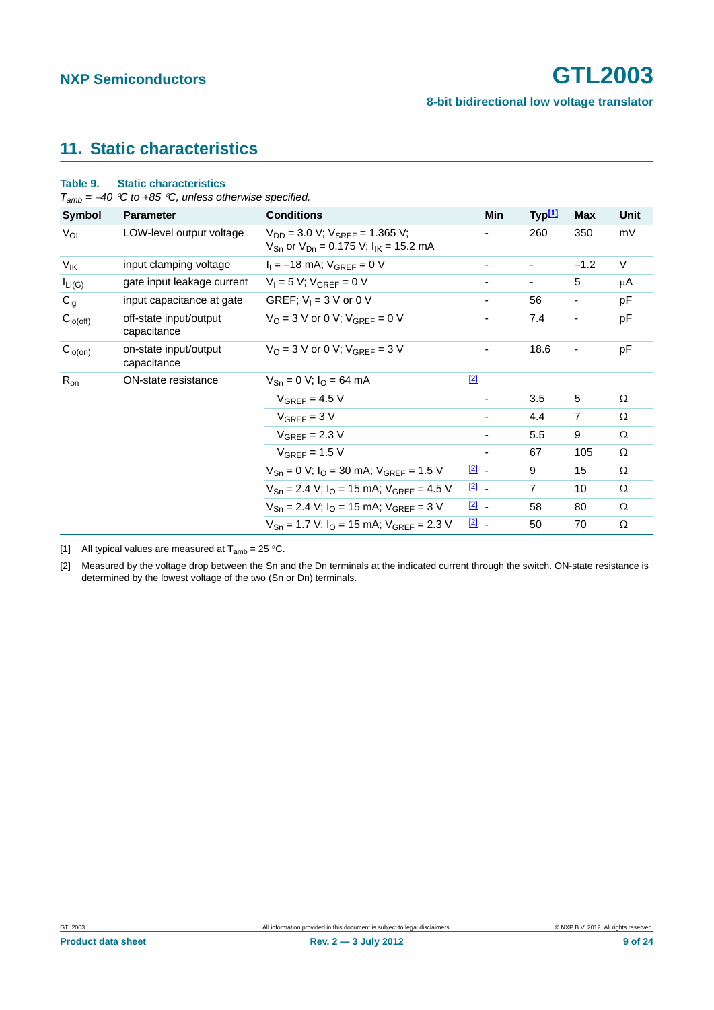# <span id="page-8-3"></span>**11. Static characteristics**

|                 | $T_{amb} = -40$ °C to +85 °C, unless otherwise specified. |                                                                                                                    |               |                    |            |      |
|-----------------|-----------------------------------------------------------|--------------------------------------------------------------------------------------------------------------------|---------------|--------------------|------------|------|
| Symbol          | <b>Parameter</b>                                          | <b>Conditions</b>                                                                                                  | Min           | Typ <sup>[1]</sup> | <b>Max</b> | Unit |
| $V_{OL}$        | LOW-level output voltage                                  | $V_{DD}$ = 3.0 V; $V_{SREF}$ = 1.365 V;<br>$V_{\text{Sn}}$ or $V_{\text{Dn}} = 0.175$ V; $I_{\text{IK}} = 15.2$ mA |               | 260                | 350        | mV   |
| $V_{\text{IK}}$ | input clamping voltage                                    | $I_1 = -18$ mA; $V_{GREF} = 0$ V                                                                                   |               |                    | $-1.2$     | V    |
| $I_{LI(G)}$     | gate input leakage current                                | $V_1 = 5 V$ ; $V_{GRFF} = 0 V$                                                                                     |               |                    | 5          | μA   |
| $C_{ig}$        | input capacitance at gate                                 | GREF; $V_1 = 3$ V or 0 V                                                                                           |               | 56                 |            | pF   |
| $C_{io(off)}$   | off-state input/output<br>capacitance                     | $V_O = 3$ V or 0 V; $V_{GREF} = 0$ V                                                                               |               | 7.4                |            | pF   |
| $C_{io(on)}$    | on-state input/output<br>capacitance                      | $V_O = 3$ V or 0 V; $V_{GRFF} = 3$ V                                                                               |               | 18.6               |            | pF   |
| $R_{on}$        | ON-state resistance                                       | $V_{\text{Sn}} = 0$ V; $I_{\text{O}} = 64$ mA                                                                      | $[2]$         |                    |            |      |
|                 |                                                           | $V_{GREF}$ = 4.5 V                                                                                                 | ۰             | 3.5                | 5          | Ω    |
|                 |                                                           | $V_{GREF}$ = 3 V                                                                                                   | ۰.            | 4.4                | 7          | Ω    |
|                 |                                                           | $V_{GREF}$ = 2.3 V                                                                                                 |               | 5.5                | 9          | Ω    |
|                 |                                                           | $V_{GREF}$ = 1.5 V                                                                                                 | ۰.            | 67                 | 105        | Ω    |
|                 |                                                           | $V_{\text{Sn}} = 0$ V; $I_{\text{O}} = 30$ mA; $V_{\text{GREF}} = 1.5$ V                                           | $\boxed{2}$ - | 9                  | 15         | Ω    |
|                 |                                                           | $V_{\text{Sn}} = 2.4$ V; $I_{\text{O}} = 15$ mA; $V_{\text{GREF}} = 4.5$ V                                         | $\boxed{2}$ . | $\overline{7}$     | 10         | Ω    |
|                 |                                                           | $V_{\text{Sn}} = 2.4$ V; $I_{\text{O}} = 15$ mA; $V_{\text{GREF}} = 3$ V                                           | $\boxed{2}$   | 58                 | 80         | Ω    |
|                 |                                                           | $V_{\text{Sn}} = 1.7$ V; $I_{\text{O}} = 15$ mA; $V_{\text{GREF}} = 2.3$ V                                         | $\boxed{2}$ . | 50                 | 70         | Ω    |

## <span id="page-8-2"></span>**Table 9. Static characteristics**

<span id="page-8-0"></span>[1] All typical values are measured at  $T_{amb} = 25 \degree C$ .

<span id="page-8-1"></span>[2] Measured by the voltage drop between the Sn and the Dn terminals at the indicated current through the switch. ON-state resistance is determined by the lowest voltage of the two (Sn or Dn) terminals.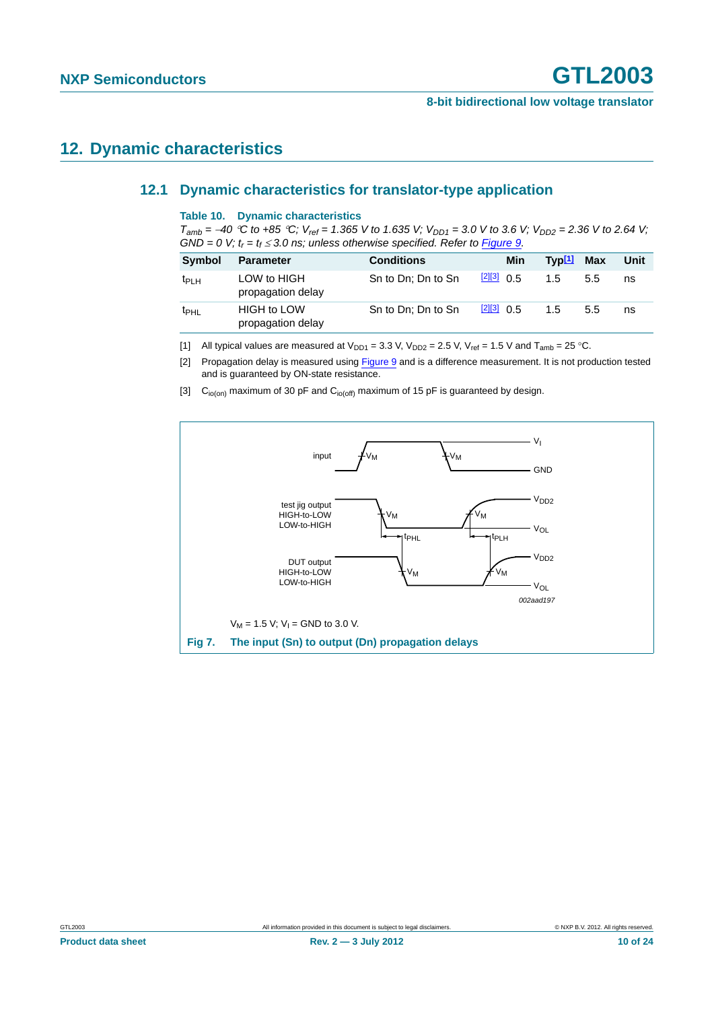# <span id="page-9-4"></span><span id="page-9-3"></span>**12. Dynamic characteristics**

#### **12.1 Dynamic characteristics for translator-type application**

#### **Table 10. Dynamic characteristics**

 $T_{amb} = -40$  <sup>o</sup>C to +85 <sup>o</sup>C;  $V_{ref} = 1.365$  V to 1.635 V;  $V_{DD1} = 3.0$  V to 3.6 V;  $V_{DD2} = 2.36$  V to 2.64 V;  $GND = 0$  V;  $t_r = t_f \leq 3.0$  ns; unless otherwise specified. Refer to [Figure 9.](#page-11-0)

| <b>Symbol</b>    | <b>Parameter</b>                        | <b>Conditions</b>  |              | Min | $Typ[1]$ Max |     | Unit |
|------------------|-----------------------------------------|--------------------|--------------|-----|--------------|-----|------|
| $t_{PLH}$        | LOW to HIGH<br>propagation delay        | Sn to Dn; Dn to Sn | $213$ 0.5    |     | 1.5          | 5.5 | ns   |
| t <sub>PHL</sub> | <b>HIGH to LOW</b><br>propagation delay | Sn to Dn; Dn to Sn | $[2][3]$ 0.5 |     | 1.5          | 5.5 | ns   |

<span id="page-9-0"></span>[1] All typical values are measured at  $V_{DD1} = 3.3$  V,  $V_{DD2} = 2.5$  V,  $V_{ref} = 1.5$  V and  $T_{amb} = 25$  °C.

<span id="page-9-1"></span>[2] Propagation delay is measured using [Figure 9](#page-11-0) and is a difference measurement. It is not production tested and is guaranteed by ON-state resistance.

<span id="page-9-2"></span>[3]  $C<sub>io(on)</sub>$  maximum of 30 pF and  $C<sub>io(off)</sub>$  maximum of 15 pF is guaranteed by design.

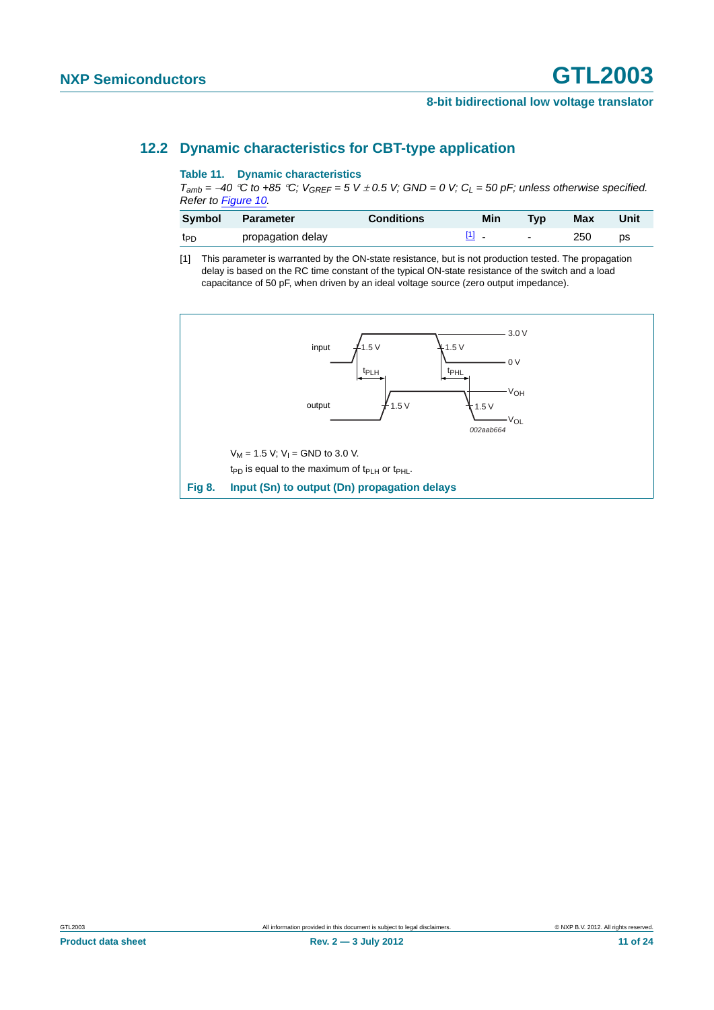#### <span id="page-10-1"></span>**12.2 Dynamic characteristics for CBT-type application**

#### **Table 11. Dynamic characteristics**

 $T_{amb}$  = -40 °C to +85 °C;  $V_{GEEF}$  = 5 V  $\pm$  0.5 V; GND = 0 V; C<sub>L</sub> = 50 pF; unless otherwise specified. *Refer to [Figure 10.](#page-11-1)*

| <b>Symbol</b>   | Parameter         | <b>Conditions</b> | Min | Tvp    | Max | Unit |
|-----------------|-------------------|-------------------|-----|--------|-----|------|
| t <sub>PD</sub> | propagation delay |                   |     | $\sim$ | 250 | DS   |

<span id="page-10-0"></span>[1] This parameter is warranted by the ON-state resistance, but is not production tested. The propagation delay is based on the RC time constant of the typical ON-state resistance of the switch and a load capacitance of 50 pF, when driven by an ideal voltage source (zero output impedance).

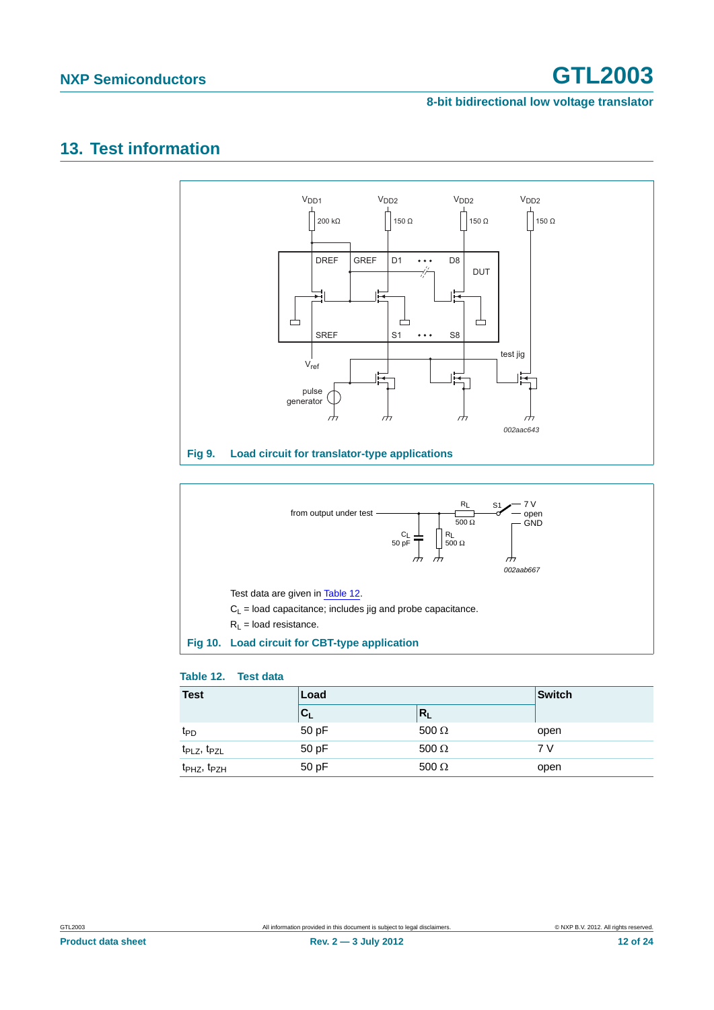#### **8-bit bidirectional low voltage translator**

# <span id="page-11-3"></span>**13. Test information**



<span id="page-11-0"></span>

#### <span id="page-11-2"></span><span id="page-11-1"></span>**Table 12. Test data**

| <b>Test</b>                         | Load                      |              | <b>Switch</b> |  |
|-------------------------------------|---------------------------|--------------|---------------|--|
|                                     | $\mathbf{c}_{\mathsf{L}}$ | $R_{L}$      |               |  |
| t <sub>PD</sub>                     | 50 pF                     | 500 $\Omega$ | open          |  |
| $tPLZ$ , $tPZL$                     | 50 pF                     | 500 $\Omega$ | 7 V           |  |
| t <sub>PHZ</sub> , t <sub>PZH</sub> | 50 pF                     | 500 $\Omega$ | open          |  |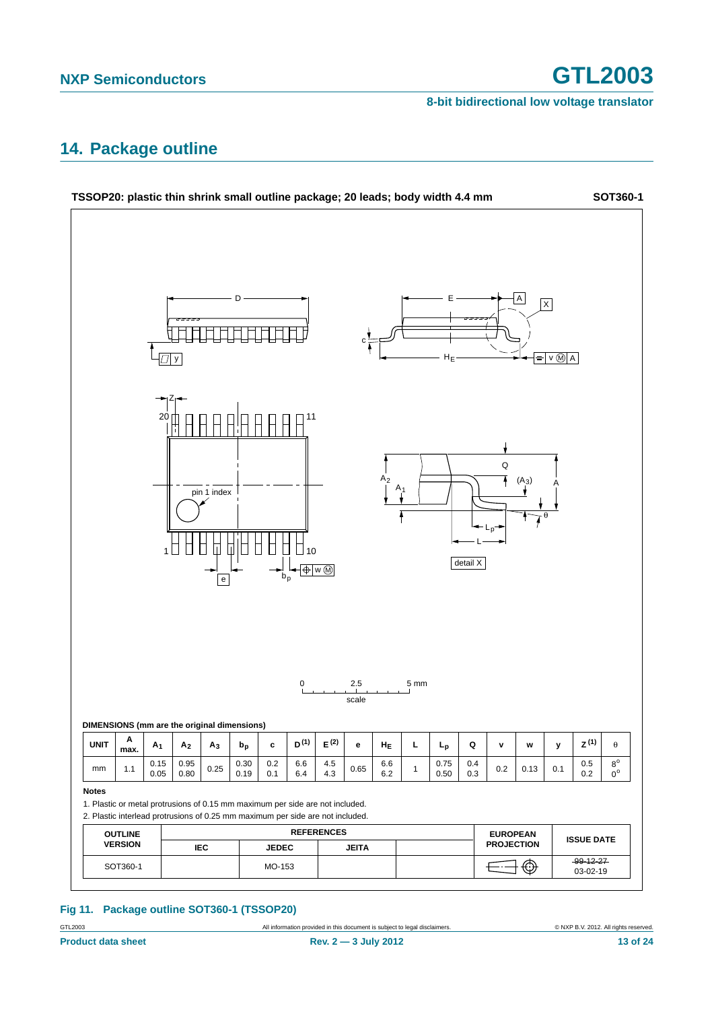# <span id="page-12-0"></span>**14. Package outline**



#### **Fig 11. Package outline SOT360-1 (TSSOP20)**

GTL2003 **All information provided in this document is subject to legal disclaimers.** © NXP B.V. 2012. All rights reserved.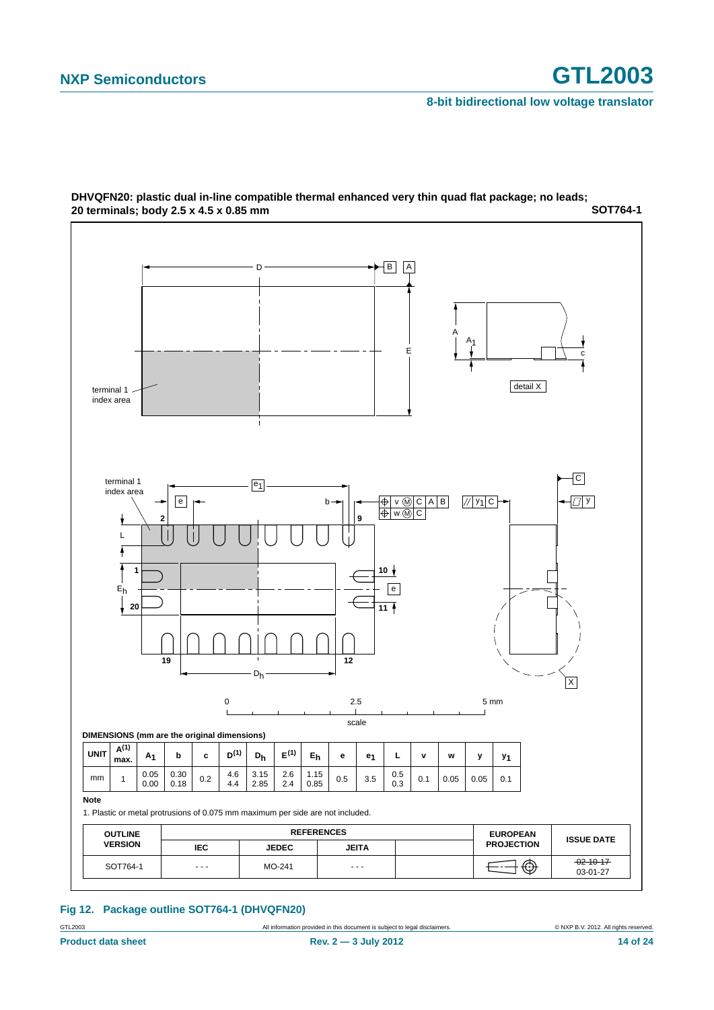

**SOT764-1 DHVQFN20: plastic dual in-line compatible thermal enhanced very thin quad flat package; no leads; 20 terminals; body 2.5 x 4.5 x 0.85 mm**

#### **Fig 12. Package outline SOT764-1 (DHVQFN20)**

GTL2003 **All information provided in this document is subject to legal disclaimers.** © NXP B.V. 2012. All rights reserved.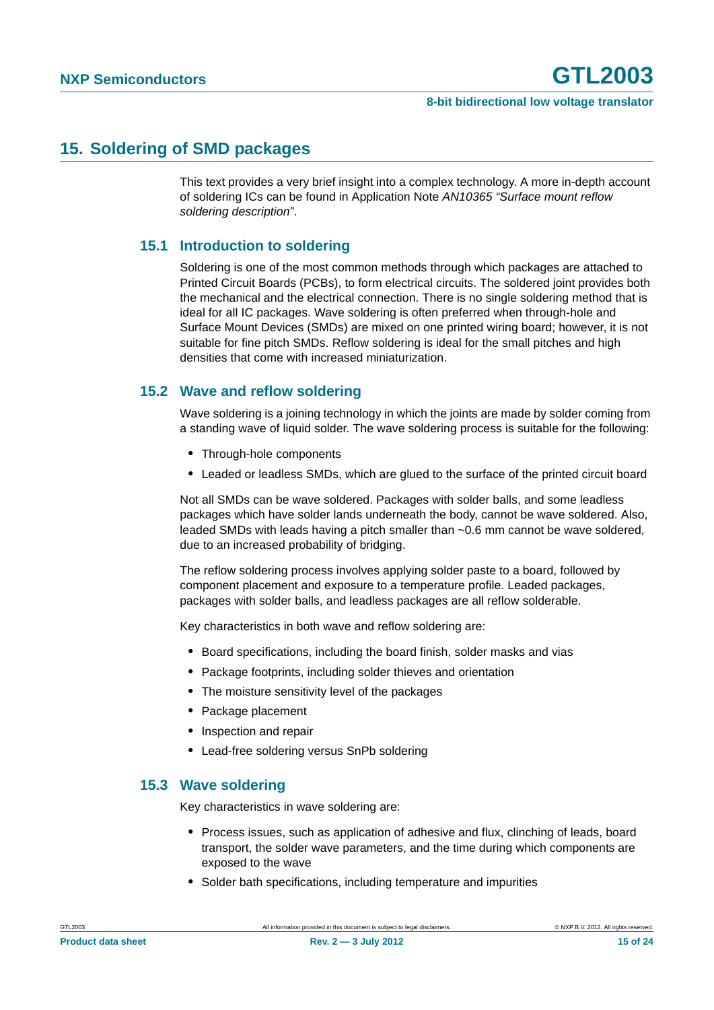# <span id="page-14-0"></span>**15. Soldering of SMD packages**

This text provides a very brief insight into a complex technology. A more in-depth account of soldering ICs can be found in Application Note *AN10365 "Surface mount reflow soldering description"*.

#### <span id="page-14-1"></span>**15.1 Introduction to soldering**

Soldering is one of the most common methods through which packages are attached to Printed Circuit Boards (PCBs), to form electrical circuits. The soldered joint provides both the mechanical and the electrical connection. There is no single soldering method that is ideal for all IC packages. Wave soldering is often preferred when through-hole and Surface Mount Devices (SMDs) are mixed on one printed wiring board; however, it is not suitable for fine pitch SMDs. Reflow soldering is ideal for the small pitches and high densities that come with increased miniaturization.

### <span id="page-14-2"></span>**15.2 Wave and reflow soldering**

Wave soldering is a joining technology in which the joints are made by solder coming from a standing wave of liquid solder. The wave soldering process is suitable for the following:

- **•** Through-hole components
- **•** Leaded or leadless SMDs, which are glued to the surface of the printed circuit board

Not all SMDs can be wave soldered. Packages with solder balls, and some leadless packages which have solder lands underneath the body, cannot be wave soldered. Also, leaded SMDs with leads having a pitch smaller than ~0.6 mm cannot be wave soldered, due to an increased probability of bridging.

The reflow soldering process involves applying solder paste to a board, followed by component placement and exposure to a temperature profile. Leaded packages, packages with solder balls, and leadless packages are all reflow solderable.

Key characteristics in both wave and reflow soldering are:

- **•** Board specifications, including the board finish, solder masks and vias
- **•** Package footprints, including solder thieves and orientation
- **•** The moisture sensitivity level of the packages
- **•** Package placement
- **•** Inspection and repair
- **•** Lead-free soldering versus SnPb soldering

#### <span id="page-14-3"></span>**15.3 Wave soldering**

Key characteristics in wave soldering are:

- **•** Process issues, such as application of adhesive and flux, clinching of leads, board transport, the solder wave parameters, and the time during which components are exposed to the wave
- **•** Solder bath specifications, including temperature and impurities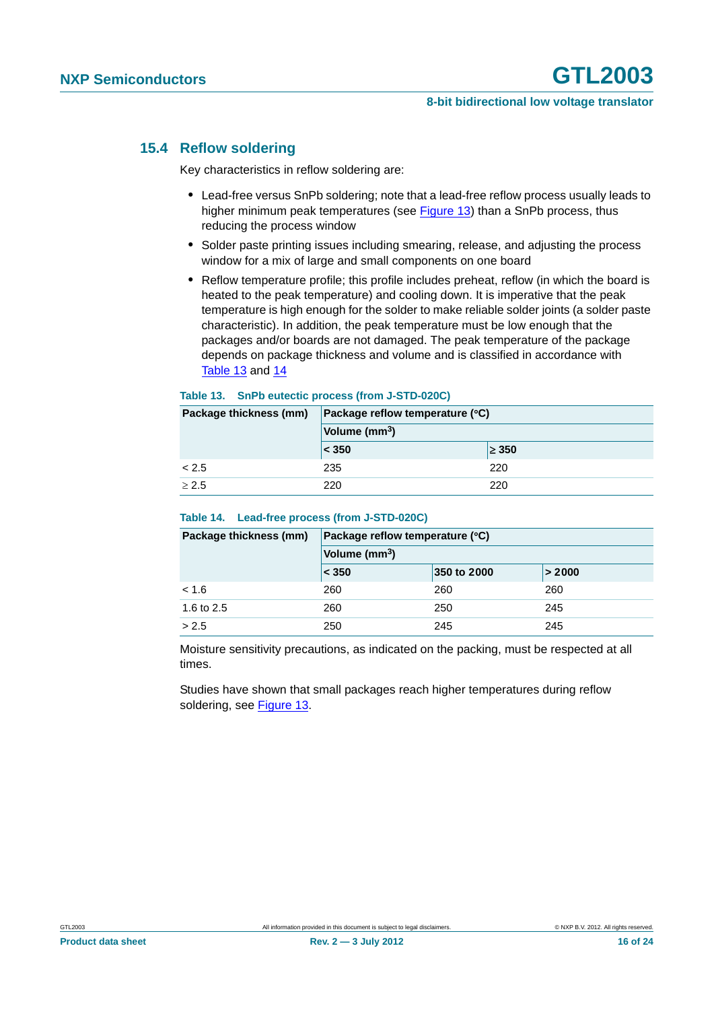#### <span id="page-15-0"></span>**15.4 Reflow soldering**

Key characteristics in reflow soldering are:

- **•** Lead-free versus SnPb soldering; note that a lead-free reflow process usually leads to higher minimum peak temperatures (see Figure 13) than a SnPb process, thus reducing the process window
- **•** Solder paste printing issues including smearing, release, and adjusting the process window for a mix of large and small components on one board
- **•** Reflow temperature profile; this profile includes preheat, reflow (in which the board is heated to the peak temperature) and cooling down. It is imperative that the peak temperature is high enough for the solder to make reliable solder joints (a solder paste characteristic). In addition, the peak temperature must be low enough that the packages and/or boards are not damaged. The peak temperature of the package depends on package thickness and volume and is classified in accordance with Table 13 and 14

#### **Table 13. SnPb eutectic process (from J-STD-020C)**

| Package thickness (mm) | Package reflow temperature (°C) |            |  |
|------------------------|---------------------------------|------------|--|
|                        | Volume (mm <sup>3</sup> )       |            |  |
|                        | < 350                           | $\geq 350$ |  |
| < 2.5                  | 235                             | 220        |  |
| > 2.5                  | 220                             | 220        |  |

#### **Table 14. Lead-free process (from J-STD-020C)**

| Package thickness (mm) | Package reflow temperature (°C) |             |        |  |
|------------------------|---------------------------------|-------------|--------|--|
|                        | Volume (mm <sup>3</sup> )       |             |        |  |
|                        | $\leq 350$                      | 350 to 2000 | > 2000 |  |
| < 1.6                  | 260                             | 260         | 260    |  |
| 1.6 to 2.5             | 260                             | 250         | 245    |  |
| > 2.5                  | 250                             | 245         | 245    |  |

Moisture sensitivity precautions, as indicated on the packing, must be respected at all times.

Studies have shown that small packages reach higher temperatures during reflow soldering, see Figure 13.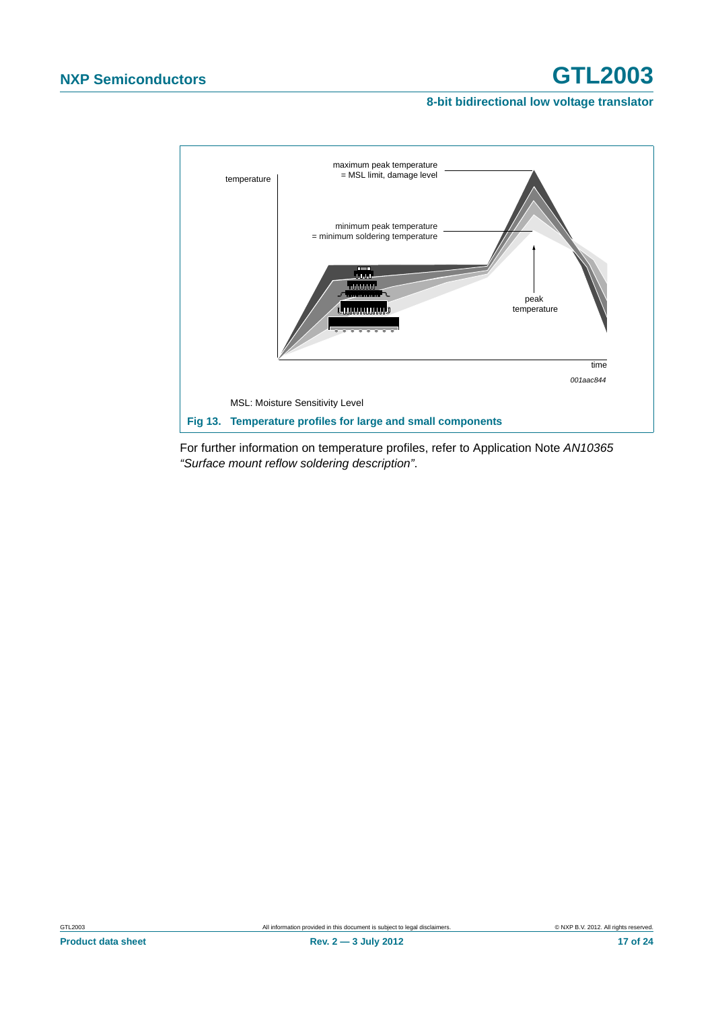#### **8-bit bidirectional low voltage translator**



For further information on temperature profiles, refer to Application Note *AN10365 "Surface mount reflow soldering description"*.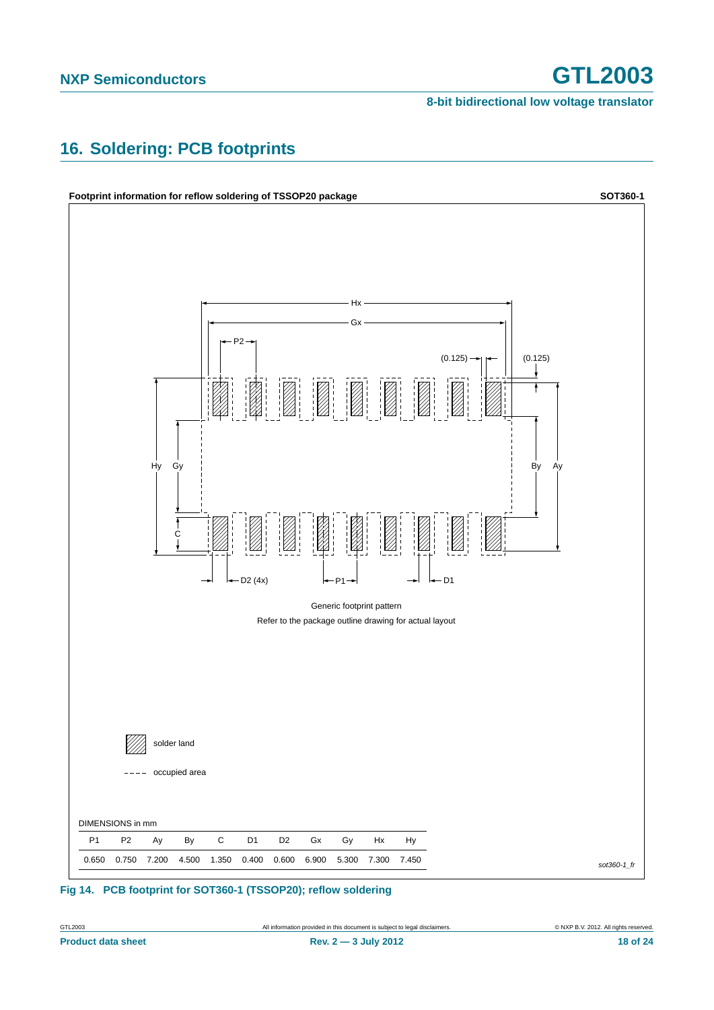# <span id="page-17-0"></span>**16. Soldering: PCB footprints**



## **Fig 14. PCB footprint for SOT360-1 (TSSOP20); reflow soldering**

**Product data sheet** 18 of 24 **Rev. 2 — 3 July 2012** 18 of 24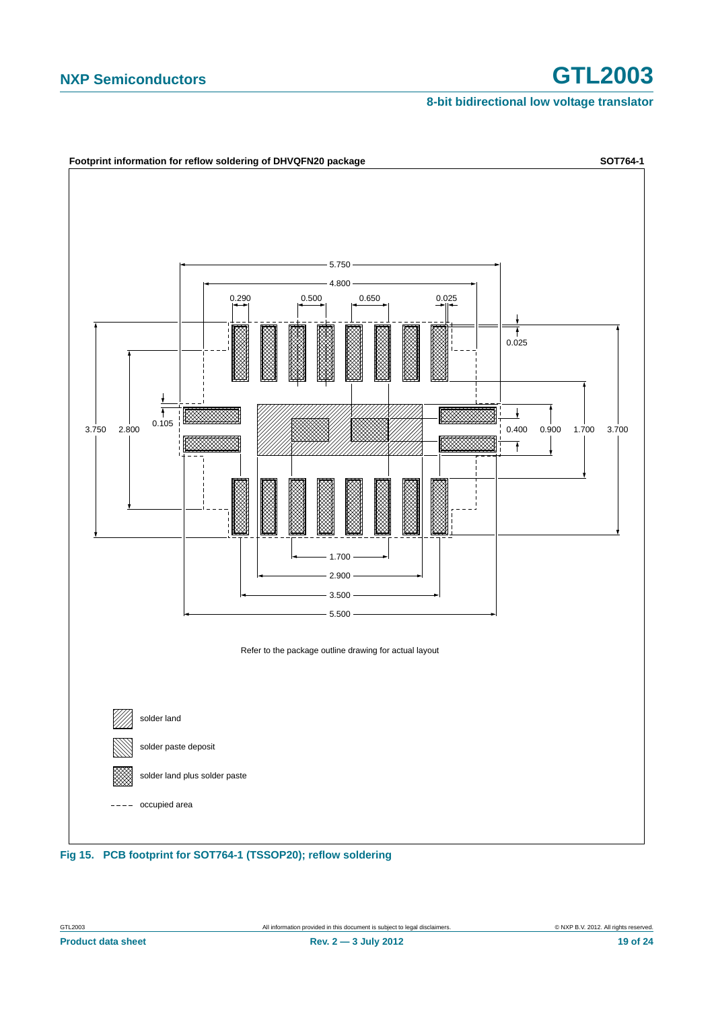#### **8-bit bidirectional low voltage translator**

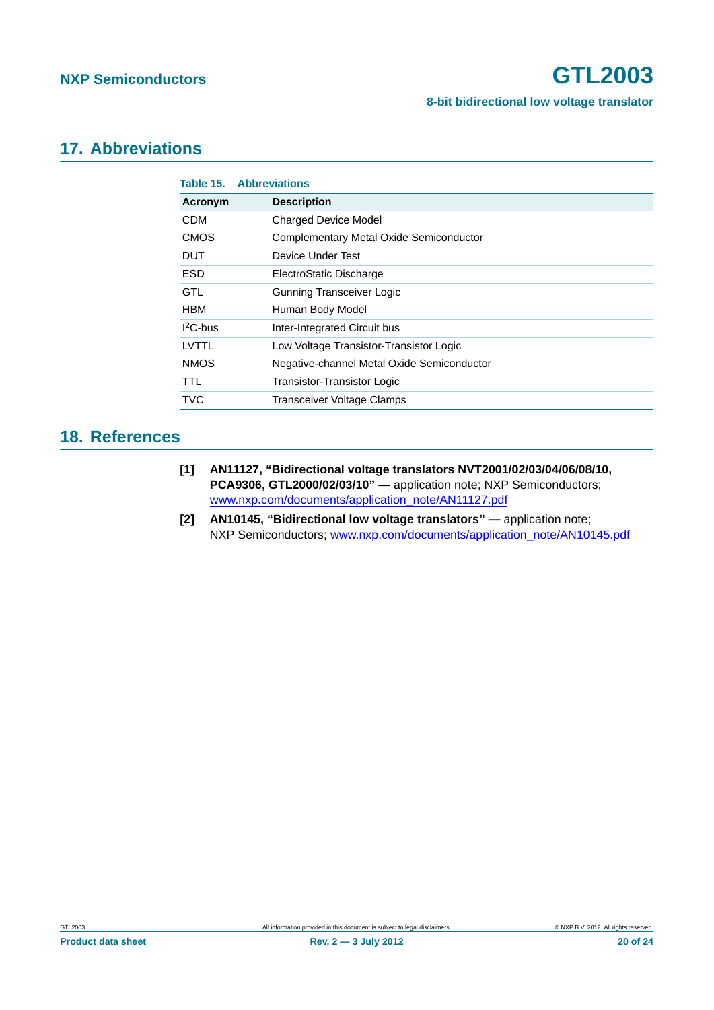## <span id="page-19-3"></span>**17. Abbreviations**

|             | <b>Table 15. Abbreviations</b>             |
|-------------|--------------------------------------------|
| Acronym     | <b>Description</b>                         |
| <b>CDM</b>  | <b>Charged Device Model</b>                |
| <b>CMOS</b> | Complementary Metal Oxide Semiconductor    |
| <b>DUT</b>  | Device Under Test                          |
| ESD         | ElectroStatic Discharge                    |
| GTL         | <b>Gunning Transceiver Logic</b>           |
| <b>HBM</b>  | Human Body Model                           |
| $12C$ -bus  | Inter-Integrated Circuit bus               |
| LVTTL       | Low Voltage Transistor-Transistor Logic    |
| <b>NMOS</b> | Negative-channel Metal Oxide Semiconductor |
| <b>TTL</b>  | Transistor-Transistor Logic                |
| <b>TVC</b>  | Transceiver Voltage Clamps                 |

## <span id="page-19-2"></span>**18. References**

- <span id="page-19-0"></span>**[1] AN11127, "Bidirectional voltage translators NVT2001/02/03/04/06/08/10, PCA9306, GTL2000/02/03/10" —** application note; NXP Semiconductors; [www.nxp.com/documents/application\\_note/AN11127.pdf](http://www.nxp.com/documents/application_note/AN11127.pdf)
- <span id="page-19-1"></span>**[2] AN10145, "Bidirectional low voltage translators" —** application note; NXP Semiconductors; [www.nxp.com/documents/application\\_note/AN10145.pdf](http://www.nxp.com/documents/application_note/AN10145.pdf)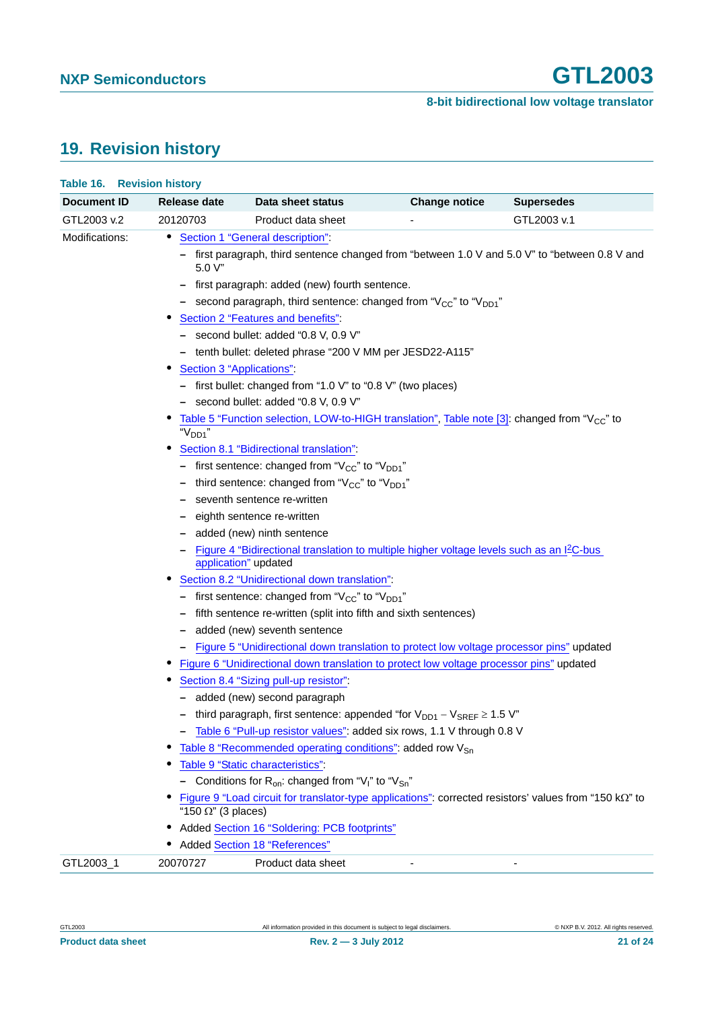# <span id="page-20-0"></span>**19. Revision history**

| Document ID    | Release date                                                                                                                            | Data sheet status                                                                                                                 | <b>Change notice</b> | <b>Supersedes</b> |  |  |
|----------------|-----------------------------------------------------------------------------------------------------------------------------------------|-----------------------------------------------------------------------------------------------------------------------------------|----------------------|-------------------|--|--|
| GTL2003 v.2    | 20120703                                                                                                                                | Product data sheet                                                                                                                |                      | GTL2003 v.1       |  |  |
| Modifications: |                                                                                                                                         | • Section 1 "General description":                                                                                                |                      |                   |  |  |
|                | - first paragraph, third sentence changed from "between 1.0 V and 5.0 V" to "between 0.8 V and<br>$5.0 V$ "                             |                                                                                                                                   |                      |                   |  |  |
|                |                                                                                                                                         | - first paragraph: added (new) fourth sentence.<br>- second paragraph, third sentence: changed from " $V_{CC}$ " to " $V_{DD1}$ " |                      |                   |  |  |
|                | Section 2 "Features and benefits":<br>- second bullet: added "0.8 V, 0.9 V"                                                             |                                                                                                                                   |                      |                   |  |  |
|                |                                                                                                                                         | - tenth bullet: deleted phrase "200 V MM per JESD22-A115"                                                                         |                      |                   |  |  |
|                |                                                                                                                                         | Section 3 "Applications":                                                                                                         |                      |                   |  |  |
|                | - first bullet: changed from "1.0 V" to "0.8 V" (two places)<br>- second bullet: added "0.8 V, 0.9 V"                                   |                                                                                                                                   |                      |                   |  |  |
|                | Table 5 "Function selection, LOW-to-HIGH translation", Table note [3]: changed from " $V_{\text{CC}}$ " to<br>"V <sub>DD1</sub> "       |                                                                                                                                   |                      |                   |  |  |
|                | Section 8.1 "Bidirectional translation":                                                                                                |                                                                                                                                   |                      |                   |  |  |
|                | - first sentence: changed from " $V_{CC}$ " to " $V_{DD1}$ "                                                                            |                                                                                                                                   |                      |                   |  |  |
|                | - third sentence: changed from " $V_{CC}$ " to " $V_{DD1}$ "                                                                            |                                                                                                                                   |                      |                   |  |  |
|                | - seventh sentence re-written                                                                                                           |                                                                                                                                   |                      |                   |  |  |
|                | - eighth sentence re-written                                                                                                            |                                                                                                                                   |                      |                   |  |  |
|                | added (new) ninth sentence                                                                                                              |                                                                                                                                   |                      |                   |  |  |
|                | Figure 4 "Bidirectional translation to multiple higher voltage levels such as an I <sup>2</sup> C-bus<br>application" updated           |                                                                                                                                   |                      |                   |  |  |
|                | Section 8.2 "Unidirectional down translation".                                                                                          |                                                                                                                                   |                      |                   |  |  |
|                | - first sentence: changed from " $V_{CC}$ " to " $V_{DD1}$ "                                                                            |                                                                                                                                   |                      |                   |  |  |
|                | - fifth sentence re-written (split into fifth and sixth sentences)                                                                      |                                                                                                                                   |                      |                   |  |  |
|                | - added (new) seventh sentence                                                                                                          |                                                                                                                                   |                      |                   |  |  |
|                |                                                                                                                                         | - Figure 5 "Unidirectional down translation to protect low voltage processor pins" updated                                        |                      |                   |  |  |
|                | Figure 6 "Unidirectional down translation to protect low voltage processor pins" updated<br>Section 8.4 "Sizing pull-up resistor":      |                                                                                                                                   |                      |                   |  |  |
|                |                                                                                                                                         |                                                                                                                                   |                      |                   |  |  |
|                | - added (new) second paragraph                                                                                                          |                                                                                                                                   |                      |                   |  |  |
|                | - third paragraph, first sentence: appended "for $\mathsf{V}_{\mathsf{DD1}}\,$ – $\mathsf{V}_{\mathsf{SREF}}$ $\geq$ 1.5 $\mathsf{V}$ " |                                                                                                                                   |                      |                   |  |  |
|                | Table 6 "Pull-up resistor values": added six rows, 1.1 V through 0.8 V                                                                  |                                                                                                                                   |                      |                   |  |  |
|                | Table 8 "Recommended operating conditions": added row V <sub>Sn</sub>                                                                   |                                                                                                                                   |                      |                   |  |  |
|                | Table 9 "Static characteristics":                                                                                                       |                                                                                                                                   |                      |                   |  |  |
|                | - Conditions for $R_{on}$ : changed from "V <sub>I</sub> " to "V <sub>Sn</sub> "                                                        |                                                                                                                                   |                      |                   |  |  |
|                | Figure 9 "Load circuit for translator-type applications": corrected resistors' values from "150 kΩ" to<br>"150 $\Omega$ " (3 places)    |                                                                                                                                   |                      |                   |  |  |
|                |                                                                                                                                         | Added Section 16 "Soldering: PCB footprints"                                                                                      |                      |                   |  |  |
|                | <b>Added Section 18 "References"</b>                                                                                                    |                                                                                                                                   |                      |                   |  |  |
| GTL2003_1      | 20070727                                                                                                                                | Product data sheet                                                                                                                |                      |                   |  |  |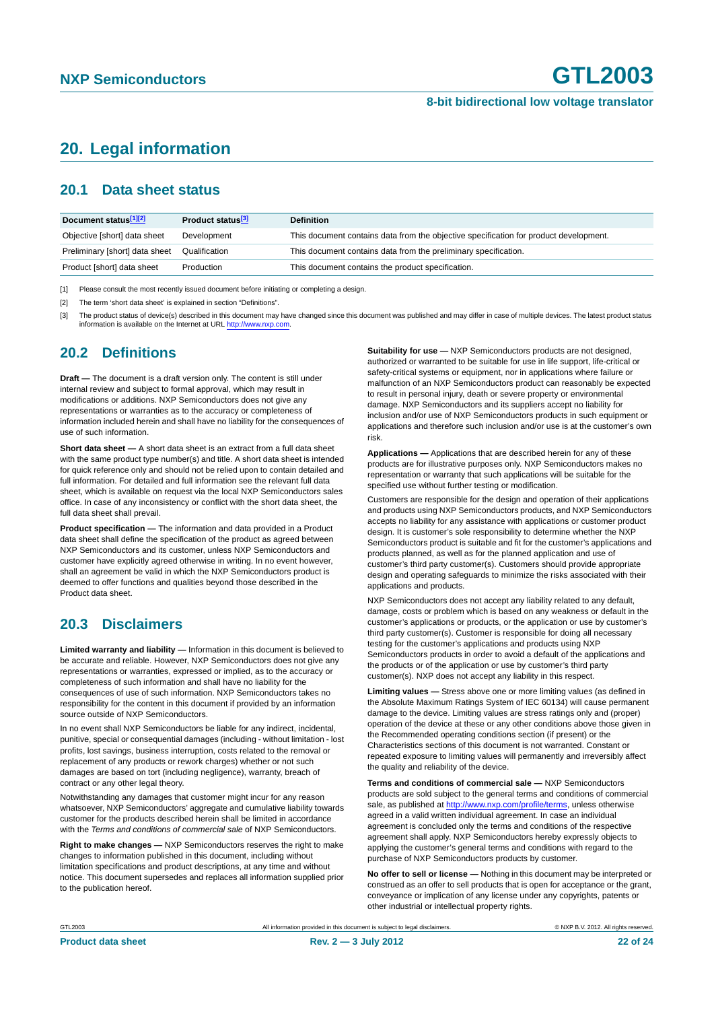# <span id="page-21-0"></span>**20. Legal information**

#### <span id="page-21-1"></span>**20.1 Data sheet status**

| Document status[1][2]          | Product status <sup>[3]</sup> | <b>Definition</b>                                                                     |
|--------------------------------|-------------------------------|---------------------------------------------------------------------------------------|
| Objective [short] data sheet   | Development                   | This document contains data from the objective specification for product development. |
| Preliminary [short] data sheet | Qualification                 | This document contains data from the preliminary specification.                       |
| Product [short] data sheet     | Production                    | This document contains the product specification.                                     |

[1] Please consult the most recently issued document before initiating or completing a design.

[2] The term 'short data sheet' is explained in section "Definitions".

[3] The product status of device(s) described in this document may have changed since this document was published and may differ in case of multiple devices. The latest product status<br>information is available on the Intern

#### <span id="page-21-2"></span>**20.2 Definitions**

**Draft —** The document is a draft version only. The content is still under internal review and subject to formal approval, which may result in modifications or additions. NXP Semiconductors does not give any representations or warranties as to the accuracy or completeness of information included herein and shall have no liability for the consequences of use of such information.

**Short data sheet —** A short data sheet is an extract from a full data sheet with the same product type number(s) and title. A short data sheet is intended for quick reference only and should not be relied upon to contain detailed and full information. For detailed and full information see the relevant full data sheet, which is available on request via the local NXP Semiconductors sales office. In case of any inconsistency or conflict with the short data sheet, the full data sheet shall prevail.

**Product specification —** The information and data provided in a Product data sheet shall define the specification of the product as agreed between NXP Semiconductors and its customer, unless NXP Semiconductors and customer have explicitly agreed otherwise in writing. In no event however, shall an agreement be valid in which the NXP Semiconductors product is deemed to offer functions and qualities beyond those described in the Product data sheet.

### <span id="page-21-3"></span>**20.3 Disclaimers**

**Limited warranty and liability —** Information in this document is believed to be accurate and reliable. However, NXP Semiconductors does not give any representations or warranties, expressed or implied, as to the accuracy or completeness of such information and shall have no liability for the consequences of use of such information. NXP Semiconductors takes no responsibility for the content in this document if provided by an information source outside of NXP Semiconductors.

In no event shall NXP Semiconductors be liable for any indirect, incidental, punitive, special or consequential damages (including - without limitation - lost profits, lost savings, business interruption, costs related to the removal or replacement of any products or rework charges) whether or not such damages are based on tort (including negligence), warranty, breach of contract or any other legal theory.

Notwithstanding any damages that customer might incur for any reason whatsoever, NXP Semiconductors' aggregate and cumulative liability towards customer for the products described herein shall be limited in accordance with the *Terms and conditions of commercial sale* of NXP Semiconductors.

**Right to make changes —** NXP Semiconductors reserves the right to make changes to information published in this document, including without limitation specifications and product descriptions, at any time and without notice. This document supersedes and replaces all information supplied prior to the publication hereof.

**Suitability for use —** NXP Semiconductors products are not designed, authorized or warranted to be suitable for use in life support, life-critical or safety-critical systems or equipment, nor in applications where failure or malfunction of an NXP Semiconductors product can reasonably be expected to result in personal injury, death or severe property or environmental damage. NXP Semiconductors and its suppliers accept no liability for inclusion and/or use of NXP Semiconductors products in such equipment or applications and therefore such inclusion and/or use is at the customer's own risk.

**Applications —** Applications that are described herein for any of these products are for illustrative purposes only. NXP Semiconductors makes no representation or warranty that such applications will be suitable for the specified use without further testing or modification.

Customers are responsible for the design and operation of their applications and products using NXP Semiconductors products, and NXP Semiconductors accepts no liability for any assistance with applications or customer product design. It is customer's sole responsibility to determine whether the NXP Semiconductors product is suitable and fit for the customer's applications and products planned, as well as for the planned application and use of customer's third party customer(s). Customers should provide appropriate design and operating safeguards to minimize the risks associated with their applications and products.

NXP Semiconductors does not accept any liability related to any default. damage, costs or problem which is based on any weakness or default in the customer's applications or products, or the application or use by customer's third party customer(s). Customer is responsible for doing all necessary testing for the customer's applications and products using NXP Semiconductors products in order to avoid a default of the applications and the products or of the application or use by customer's third party customer(s). NXP does not accept any liability in this respect.

**Limiting values —** Stress above one or more limiting values (as defined in the Absolute Maximum Ratings System of IEC 60134) will cause permanent damage to the device. Limiting values are stress ratings only and (proper) operation of the device at these or any other conditions above those given in the Recommended operating conditions section (if present) or the Characteristics sections of this document is not warranted. Constant or repeated exposure to limiting values will permanently and irreversibly affect the quality and reliability of the device.

**Terms and conditions of commercial sale —** NXP Semiconductors products are sold subject to the general terms and conditions of commercial sale, as published at<http://www.nxp.com/profile/terms>, unless otherwise agreed in a valid written individual agreement. In case an individual agreement is concluded only the terms and conditions of the respective agreement shall apply. NXP Semiconductors hereby expressly objects to applying the customer's general terms and conditions with regard to the purchase of NXP Semiconductors products by customer.

**No offer to sell or license —** Nothing in this document may be interpreted or construed as an offer to sell products that is open for acceptance or the grant, conveyance or implication of any license under any copyrights, patents or other industrial or intellectual property rights.

GTL2003 All information provided in this document is subject to legal disclaimers. © NXP B.V. 2012. All rights reserved.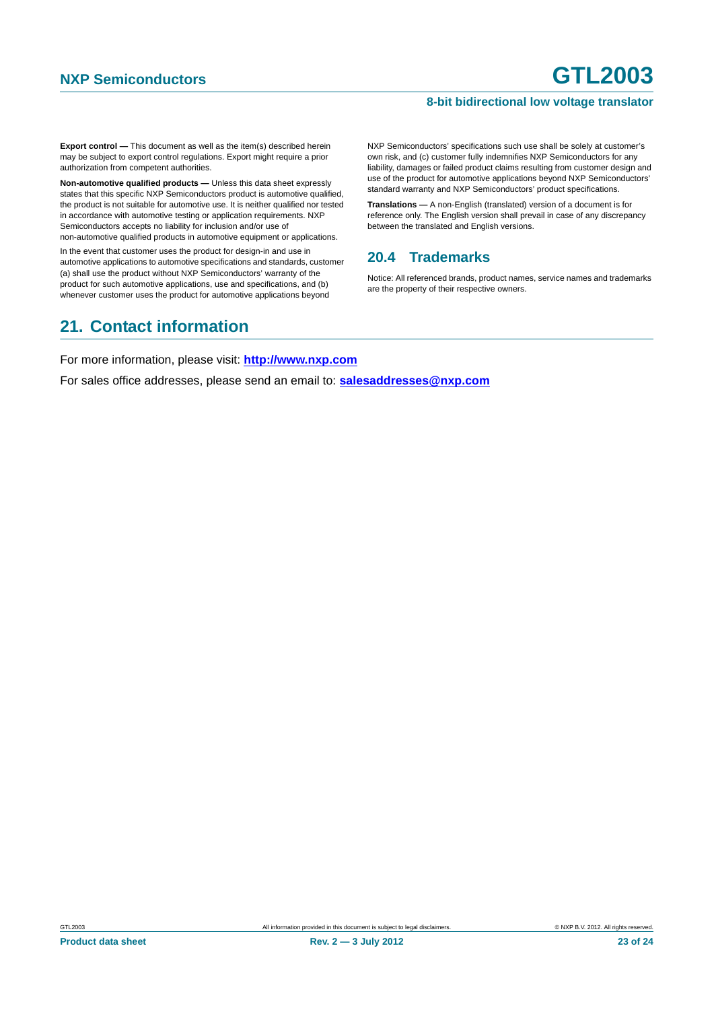**Export control —** This document as well as the item(s) described herein may be subject to export control regulations. Export might require a prior authorization from competent authorities.

**Non-automotive qualified products —** Unless this data sheet expressly states that this specific NXP Semiconductors product is automotive qualified, the product is not suitable for automotive use. It is neither qualified nor tested in accordance with automotive testing or application requirements. NXP Semiconductors accepts no liability for inclusion and/or use of non-automotive qualified products in automotive equipment or applications.

In the event that customer uses the product for design-in and use in automotive applications to automotive specifications and standards, customer (a) shall use the product without NXP Semiconductors' warranty of the product for such automotive applications, use and specifications, and (b) whenever customer uses the product for automotive applications beyond

NXP Semiconductors' specifications such use shall be solely at customer's own risk, and (c) customer fully indemnifies NXP Semiconductors for any liability, damages or failed product claims resulting from customer design and use of the product for automotive applications beyond NXP Semiconductors' standard warranty and NXP Semiconductors' product specifications.

**Translations —** A non-English (translated) version of a document is for reference only. The English version shall prevail in case of any discrepancy between the translated and English versions.

#### <span id="page-22-0"></span>**20.4 Trademarks**

Notice: All referenced brands, product names, service names and trademarks are the property of their respective owners.

# <span id="page-22-1"></span>**21. Contact information**

For more information, please visit: **http://www.nxp.com**

For sales office addresses, please send an email to: **salesaddresses@nxp.com**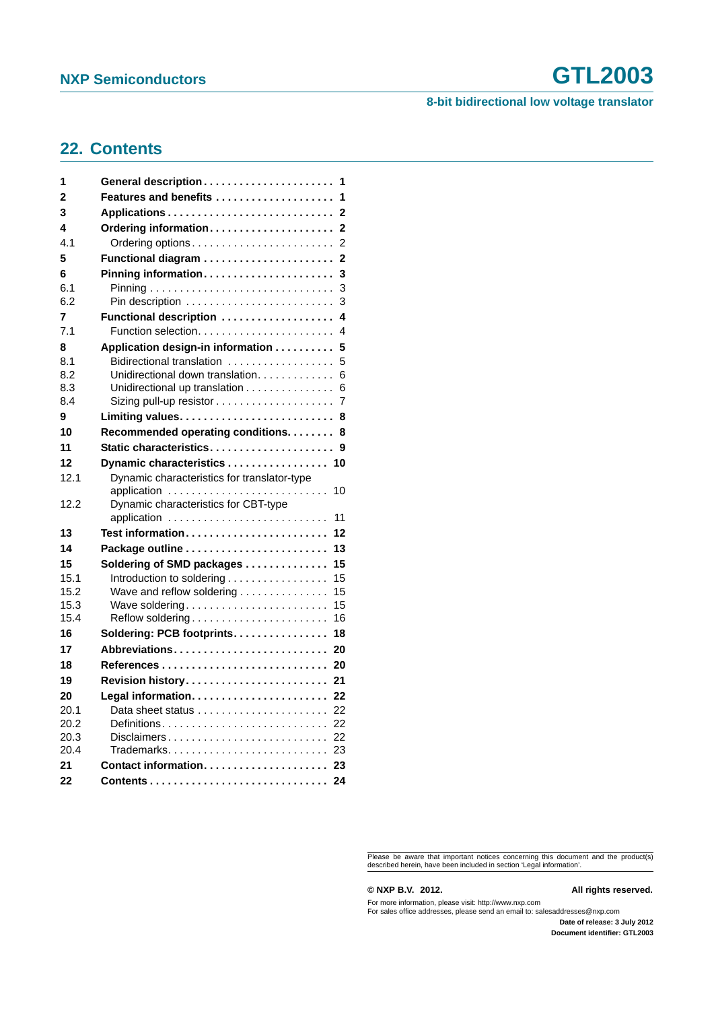#### **8-bit bidirectional low voltage translator**

# <span id="page-23-0"></span>**22. Contents**

| 1              | General description<br>1                                |
|----------------|---------------------------------------------------------|
| $\overline{2}$ | Features and benefits<br>1                              |
| 3              | $\mathbf{2}$                                            |
| 4              | Ordering information<br>$\overline{2}$                  |
| 4.1            | 2                                                       |
| 5              | $\overline{2}$                                          |
| 6              | Pinning information<br>3                                |
| 6.1            | 3                                                       |
| 6.2            | 3                                                       |
| 7              | 4<br>Functional description                             |
| 7.1            | 4                                                       |
| 8              | Application design-in information<br>5                  |
| 8.1            | Bidirectional translation<br>5                          |
| 8.2            | Unidirectional down translation.<br>6                   |
| 8.3            | Unidirectional up translation<br>6                      |
| 8.4            | 7                                                       |
| 9              | Limiting values<br>8                                    |
| 10             | Recommended operating conditions.<br>8                  |
| 11             | Static characteristics<br>9                             |
| 12             | Dynamic characteristics<br>10                           |
| 12.1           | Dynamic characteristics for translator-type             |
|                | 10                                                      |
| 12.2           | Dynamic characteristics for CBT-type<br>11              |
|                | application                                             |
| 13             | Test information<br>12                                  |
| 14             | 13                                                      |
| 15             | 15<br>Soldering of SMD packages                         |
| 15.1           | Introduction to soldering<br>15                         |
| 15.2<br>15.3   | 15<br>Wave and reflow soldering<br>Wave soldering<br>15 |
| 15.4           | Reflow soldering<br>16                                  |
| 16             | Soldering: PCB footprints.<br>18                        |
| 17             | Abbreviations<br>20                                     |
| 18             | References<br>20                                        |
| 19             | Revision history<br>21                                  |
|                |                                                         |
| 20<br>20.1     | 22<br>22                                                |
| 20.2           | Definitions<br>22                                       |
| 20.3           |                                                         |
| 20.4           | Trademarks 23                                           |
| 21             | Contact information 23                                  |
| 22             | 24                                                      |
|                |                                                         |

Please be aware that important notices concerning this document and the product(s) described herein, have been included in section 'Legal information'.

#### **© NXP B.V. 2012. All rights reserved.**

For more information, please visit: http://www.nxp.com For sales office addresses, please send an email to: salesaddresses@nxp.com

**Date of release: 3 July 2012 Document identifier: GTL2003**